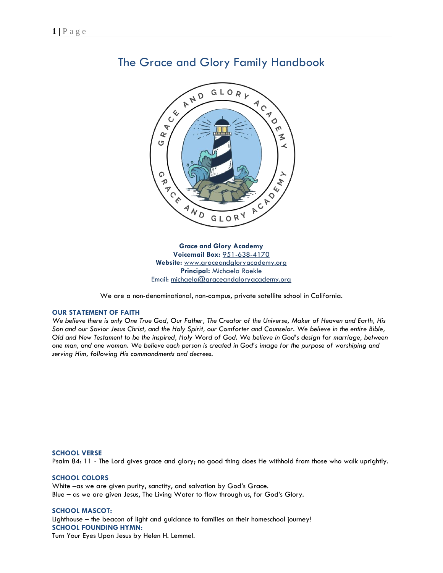

# The Grace and Glory Family Handbook

**Grace and Glory Academy Voicemail Box:** 951-638-4170 **Website:** www.graceandgloryacademy.org **Principal:** Michaela Roekle Email: [michaela@graceandgloryacademy.org](mailto:michaela@graceandgloryacademy.org)

We are a non-denominational, non-campus, private satellite school in California.

# **OUR STATEMENT OF FAITH**

*We believe there is only One True God, Our Father, The Creator of the Universe, Maker of Heaven and Earth, His Son and our Savior Jesus Christ, and the Holy Spirit, our Comforter and Counselor. We believe in the entire Bible, Old and New Testament to be the inspired, Holy Word of God. We believe in God's design for marriage, between one man, and one woman. We believe each person is created in God's image for the purpose of worshiping and serving Him, following His commandments and decrees.*

## **SCHOOL VERSE**

Psalm 84: 11 - The Lord gives grace and glory; no good thing does He withhold from those who walk uprightly.

# **SCHOOL COLORS**

White –as we are given purity, sanctity, and salvation by God's Grace. Blue – as we are given Jesus, The Living Water to flow through us, for God's Glory.

# **SCHOOL MASCOT:**

Lighthouse – the beacon of light and guidance to families on their homeschool journey! **SCHOOL FOUNDING HYMN:** Turn Your Eyes Upon Jesus by Helen H. Lemmel.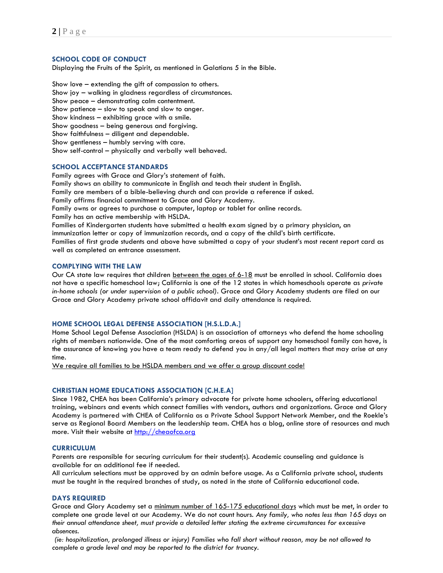# **SCHOOL CODE OF CONDUCT**

Displaying the Fruits of the Spirit, as mentioned in Galatians 5 in the Bible.

Show love – extending the gift of compassion to others. Show joy – walking in gladness regardless of circumstances. Show peace – demonstrating calm contentment. Show patience – slow to speak and slow to anger. Show kindness – exhibiting grace with a smile. Show goodness – being generous and forgiving. Show faithfulness – diligent and dependable. Show gentleness – humbly serving with care. Show self-control – physically and verbally well behaved.

# **SCHOOL ACCEPTANCE STANDARDS**

Family agrees with Grace and Glory's statement of faith.

Family shows an ability to communicate in English and teach their student in English.

Family are members of a bible-believing church and can provide a reference if asked.

Family affirms financial commitment to Grace and Glory Academy.

Family owns or agrees to purchase a computer, laptop or tablet for online records.

Family has an active membership with HSLDA.

Families of Kindergarten students have submitted a health exam signed by a primary physician, an immunization letter or copy of immunization records, and a copy of the child's birth certificate.

Families of first grade students and above have submitted a copy of your student's most recent report card as well as completed an entrance assessment.

# **COMPLYING WITH THE LAW**

Our CA state law requires that children between the ages of 6-18 must be enrolled in school. California does not have a specific homeschool law; California is one of the 12 states in which homeschools operate as *private in-home schools (or under supervision of a public school).* Grace and Glory Academy students are filed on our Grace and Glory Academy private school affidavit and daily attendance is required.

## **HOME SCHOOL LEGAL DEFENSE ASSOCIATION [H.S.L.D.A.]**

Home School Legal Defense Association (HSLDA) is an association of attorneys who defend the home schooling rights of members nationwide. One of the most comforting areas of support any homeschool family can have, is the assurance of knowing you have a team ready to defend you in any/all legal matters that may arise at any time.

We require all families to be HSLDA members and we offer a group discount code!

# **CHRISTIAN HOME EDUCATIONS ASSOCIATION [C.H.E.A]**

Since 1982, CHEA has been California's primary advocate for private home schoolers, offering educational training, webinars and events which connect families with vendors, authors and organizations. Grace and Glory Academy is partnered with CHEA of California as a Private School Support Network Member, and the Roekle's serve as Regional Board Members on the leadership team. CHEA has a blog, online store of resources and much more. Visit their website at [http://cheaofca.org](http://cheaofca.org/)

#### **CURRICULUM**

Parents are responsible for securing curriculum for their student(s). Academic counseling and guidance is available for an additional fee if needed.

All curriculum selections must be approved by an admin before usage. As a California private school, students must be taught in the required branches of study, as noted in the state of California educational code.

#### **DAYS REQUIRED**

Grace and Glory Academy set a minimum number of 165-175 educational days which must be met, in order to complete one grade level at our Academy. We do not count hours. *Any family, who notes less than 165 days on their annual attendance sheet, must provide a detailed letter stating the extreme circumstances for excessive absences.*

*(ie: hospitalization, prolonged illness or injury) Families who fall short without reason, may be not allowed to complete a grade level and may be reported to the district for truancy.*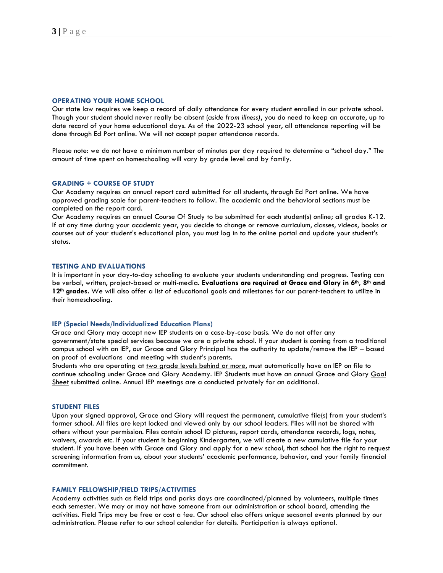#### **OPERATING YOUR HOME SCHOOL**

Our state law requires we keep a record of daily attendance for every student enrolled in our private school. Though your student should never really be absent (*aside from illness)*, you do need to keep an accurate, up to date record of your home educational days. As of the 2022-23 school year, all attendance reporting will be done through Ed Port online. We will not accept paper attendance records.

Please note: we do not have a minimum number of minutes per day required to determine a "school day." The amount of time spent on homeschooling will vary by grade level and by family.

#### **GRADING + COURSE OF STUDY**

Our Academy requires an annual report card submitted for all students, through Ed Port online. We have approved grading scale for parent-teachers to follow. The academic and the behavioral sections must be completed on the report card.

Our Academy requires an annual Course Of Study to be submitted for each student(s) online; all grades K-12. If at any time during your academic year, you decide to change or remove curriculum, classes, videos, books or courses out of your student's educational plan, you must log in to the online portal and update your student's status.

# **TESTING AND EVALUATIONS**

It is important in your day-to-day schooling to evaluate your students understanding and progress. Testing can be verbal, written, project-based or multi-media. **Evaluations are required at Grace and Glory in 6th, 8th and 12th grades.** We will also offer a list of educational goals and milestones for our parent-teachers to utilize in their homeschooling.

#### **IEP (Special Needs/Individualized Education Plans)**

Grace and Glory may accept new IEP students on a case-by-case basis. We do not offer any government/state special services because we are a private school. If your student is coming from a traditional campus school with an IEP, our Grace and Glory Principal has the authority to update/remove the IEP – based on proof of evaluations and meeting with student's parents.

Students who are operating at two grade levels behind or more, must automatically have an IEP on file to continue schooling under Grace and Glory Academy. IEP Students must have an annual Grace and Glory Goal Sheet submitted online. Annual IEP meetings are a conducted privately for an additional.

#### **STUDENT FILES**

Upon your signed approval, Grace and Glory will request the permanent, cumulative file(s) from your student's former school. All files are kept locked and viewed only by our school leaders. Files will not be shared with others without your permission. Files contain school ID pictures, report cards, attendance records, logs, notes, waivers, awards etc. If your student is beginning Kindergarten, we will create a new cumulative file for your student. If you have been with Grace and Glory and apply for a new school, that school has the right to request screening information from us, about your students' academic performance, behavior, and your family financial commitment.

#### **FAMILY FELLOWSHIP/FIELD TRIPS/ACTIVITIES**

Academy activities such as field trips and parks days are coordinated/planned by volunteers, multiple times each semester. We may or may not have someone from our administration or school board, attending the activities. Field Trips may be free or cost a fee. Our school also offers unique seasonal events planned by our administration. Please refer to our school calendar for details. Participation is always optional.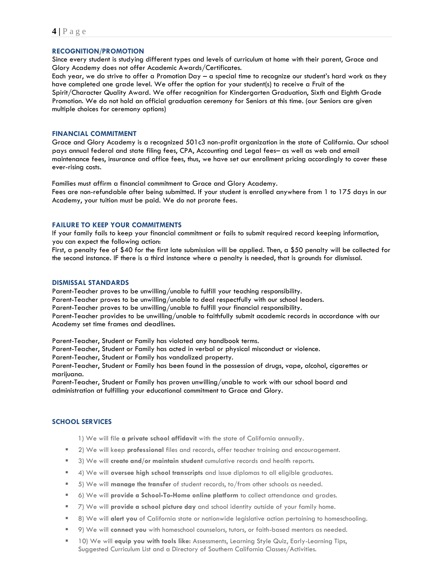# **RECOGNITION/PROMOTION**

Since every student is studying different types and levels of curriculum at home with their parent, Grace and Glory Academy does not offer Academic Awards/Certificates.

Each year, we do strive to offer a Promotion Day – a special time to recognize our student's hard work as they have completed one grade level. We offer the option for your student(s) to receive a Fruit of the Spirit/Character Quality Award. We offer recognition for Kindergarten Graduation, Sixth and Eighth Grade Promotion. We do not hold an official graduation ceremony for Seniors at this time. (our Seniors are given multiple choices for ceremony options)

#### **FINANCIAL COMMITMENT**

Grace and Glory Academy is a recognized 501c3 non-profit organization in the state of California. Our school pays annual federal and state filing fees, CPA, Accounting and Legal fees– as well as web and email maintenance fees, insurance and office fees, thus, we have set our enrollment pricing accordingly to cover these ever-rising costs.

Families must affirm a financial commitment to Grace and Glory Academy. Fees are non-refundable after being submitted. If your student is enrolled anywhere from 1 to 175 days in our Academy, your tuition must be paid. We do not prorate fees.

## **FAILURE TO KEEP YOUR COMMITMENTS**

If your family fails to keep your financial commitment or fails to submit required record keeping information, you can expect the following action:

First, a penalty fee of \$40 for the first late submission will be applied. Then, a \$50 penalty will be collected for the second instance. IF there is a third instance where a penalty is needed, that is grounds for dismissal.

# **DISMISSAL STANDARDS**

Parent-Teacher proves to be unwilling/unable to fulfill your teaching responsibility.

Parent-Teacher proves to be unwilling/unable to deal respectfully with our school leaders.

Parent-Teacher proves to be unwilling/unable to fulfill your financial responsibility.

Parent-Teacher provides to be unwilling/unable to faithfully submit academic records in accordance with our Academy set time frames and deadlines.

Parent-Teacher, Student or Family has violated any handbook terms.

Parent-Teacher, Student or Family has acted in verbal or physical misconduct or violence.

Parent-Teacher, Student or Family has vandalized property.

Parent-Teacher, Student or Family has been found in the possession of drugs, vape, alcohol, cigarettes or marijuana.

Parent-Teacher, Student or Family has proven unwilling/unable to work with our school board and administration at fulfilling your educational commitment to Grace and Glory.

# **SCHOOL SERVICES**

1) We will file **a private school affidavit** with the state of California annually.

- 2) We will keep **professional** files and records, offer teacher training and encouragement.
- 3) We will **create and/or maintain student** cumulative records and health reports.
- 4) We will **oversee high school transcripts** and issue diplomas to all eligible graduates.
- 5) We will **manage the transfer** of student records, to/from other schools as needed.
- 6) We will **provide a School-To-Home online platform** to collect attendance and grades.
- 7) We will **provide a school picture day** and school identity outside of your family home.
- 8) We will **alert you** of California state or nationwide legislative action pertaining to homeschooling.
- 9) We will **connect you** with homeschool counselors, tutors, or faith-based mentors as needed.
- 10) We will **equip you with tools like:** Assessments, Learning Style Quiz, Early-Learning Tips, Suggested Curriculum List and a Directory of Southern California Classes/Activities.